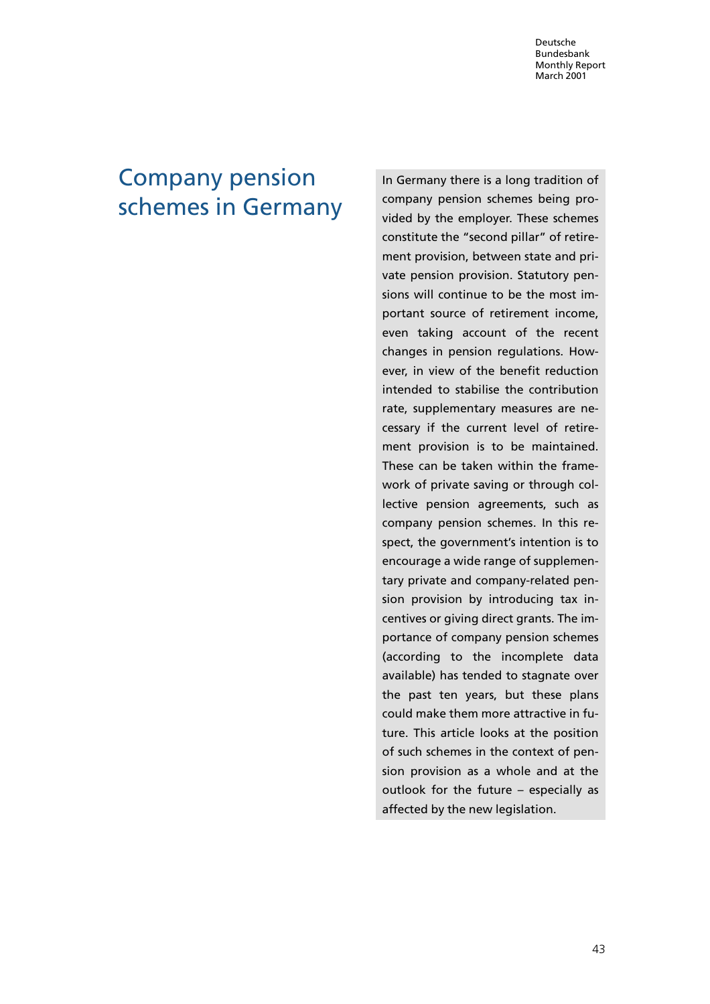# Company pension schemes in Germany

In Germany there is a long tradition of company pension schemes being provided by the employer. These schemes constitute the "second pillar" of retirement provision, between state and private pension provision. Statutory pensions will continue to be the most important source of retirement income, even taking account of the recent changes in pension regulations. However, in view of the benefit reduction intended to stabilise the contribution rate, supplementary measures are necessary if the current level of retirement provision is to be maintained. These can be taken within the framework of private saving or through collective pension agreements, such as company pension schemes. In this respect, the government's intention is to encourage a wide range of supplementary private and company-related pension provision by introducing tax incentives or giving direct grants. The importance of company pension schemes (according to the incomplete data available) has tended to stagnate over the past ten years, but these plans could make them more attractive in future. This article looks at the position of such schemes in the context of pension provision as a whole and at the outlook for the future – especially as affected by the new legislation.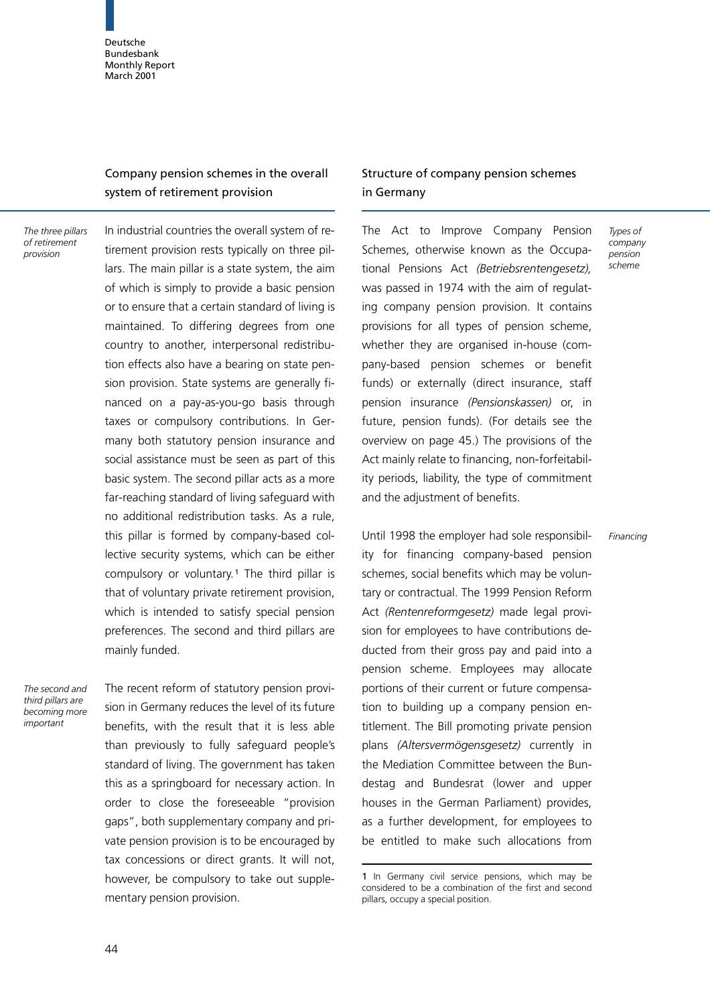# Company pension schemes in the overall system of retirement provision

The three pillars of retirement provision

In industrial countries the overall system of retirement provision rests typically on three pillars. The main pillar is a state system, the aim of which is simply to provide a basic pension or to ensure that a certain standard of living is maintained. To differing degrees from one country to another, interpersonal redistribution effects also have a bearing on state pension provision. State systems are generally financed on a pay-as-you-go basis through taxes or compulsory contributions. In Germany both statutory pension insurance and social assistance must be seen as part of this basic system. The second pillar acts as a more far-reaching standard of living safeguard with no additional redistribution tasks. As a rule, this pillar is formed by company-based collective security systems, which can be either compulsory or voluntary.<sup>1</sup> The third pillar is that of voluntary private retirement provision, which is intended to satisfy special pension preferences. The second and third pillars are mainly funded.

The second and third pillars are becoming more important

The recent reform of statutory pension provision in Germany reduces the level of its future benefits, with the result that it is less able than previously to fully safeguard people's standard of living. The government has taken this as a springboard for necessary action. In order to close the foreseeable "provision gaps", both supplementary company and private pension provision is to be encouraged by tax concessions or direct grants. It will not, however, be compulsory to take out supplementary pension provision.

# Structure of company pension schemes in Germany

Types of company pension scheme

Financing

The Act to Improve Company Pension Schemes, otherwise known as the Occupational Pensions Act (Betriebsrentengesetz), was passed in 1974 with the aim of regulating company pension provision. It contains provisions for all types of pension scheme, whether they are organised in-house (company-based pension schemes or benefit funds) or externally (direct insurance, staff pension insurance (Pensionskassen) or, in future, pension funds). (For details see the overview on page 45.) The provisions of the Act mainly relate to financing, non-forfeitability periods, liability, the type of commitment and the adjustment of benefits.

Until 1998 the employer had sole responsibility for financing company-based pension schemes, social benefits which may be voluntary or contractual. The 1999 Pension Reform Act (Rentenreformgesetz) made legal provision for employees to have contributions deducted from their gross pay and paid into a pension scheme. Employees may allocate portions of their current or future compensation to building up a company pension entitlement. The Bill promoting private pension plans (Altersvermögensgesetz) currently in the Mediation Committee between the Bundestag and Bundesrat (lower and upper houses in the German Parliament) provides, as a further development, for employees to be entitled to make such allocations from

<sup>1</sup> In Germany civil service pensions, which may be considered to be a combination of the first and second pillars, occupy a special position.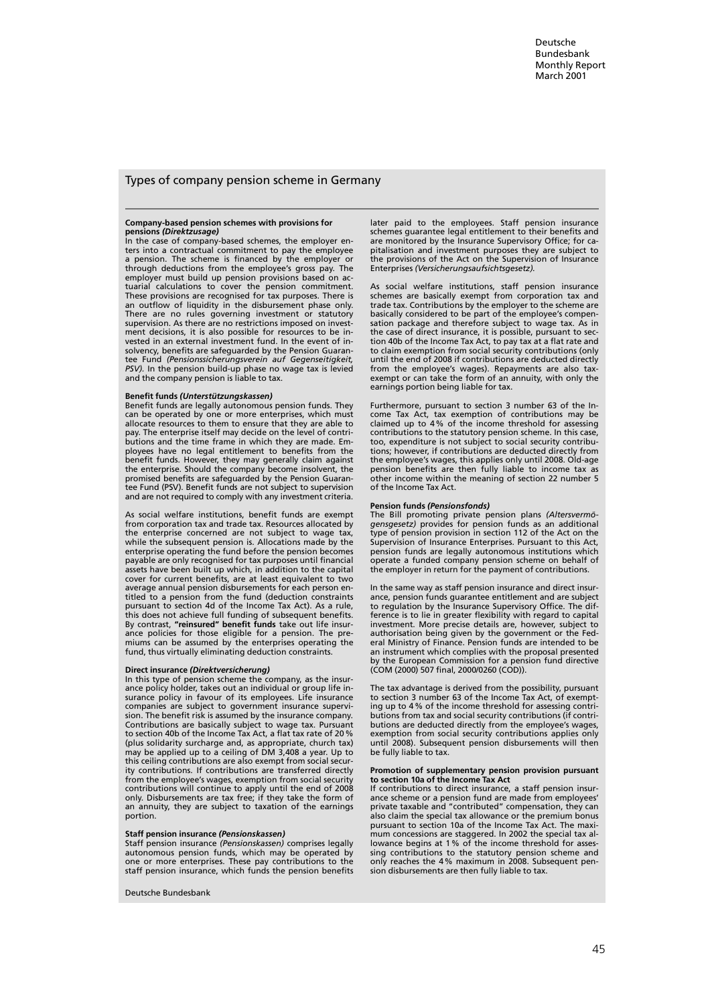### Types of company pension scheme in Germany

# Company-based pension schemes with provisions for **pensions (Direktzusage)**<br>In the case of company-based schemes, the employer en-

ters into a contractual commitment to pay the employee a pension. The scheme is financed by the employer or through deductions from the employee's gross pay. The employer must build up pension provisions based on actuarial calculations to cover the pension commitment. These provisions are recognised for tax purposes. There is an outflow of liquidity in the disbursement phase only. There are no rules governing investment or statutory supervision. As there are no restrictions imposed on investment decisions, it is also possible for resources to be invested in an external investment fund. In the event of insolvency, benefits are safeguarded by the Pension Guarantee Fund (Pensionssicherungsverein auf Gegenseitigkeit, PSV). In the pension build-up phase no wage tax is levied and the company pension is liable to tax.

#### Benefit funds (Unterstützungskassen)

Benefit funds are legally autonomous pension funds. They can be operated by one or more enterprises, which must allocate resources to them to ensure that they are able to pay. The enterprise itself may decide on the level of contributions and the time frame in which they are made. Employees have no legal entitlement to benefits from the benefit funds. However, they may generally claim against the enterprise. Should the company become insolvent, the promised benefits are safeguarded by the Pension Guarantee Fund (PSV). Benefit funds are not subject to supervision and are not required to comply with any investment criteria.

As social welfare institutions, benefit funds are exempt from corporation tax and trade tax. Resources allocated by the enterprise concerned are not subject to wage tax, while the subsequent pension is. Allocations made by the enterprise operating the fund before the pension becomes payable are only recognised for tax purposes until financial assets have been built up which, in addition to the capital cover for current benefits, are at least equivalent to two average annual pension disbursements for each person entitled to a pension from the fund (deduction constraints pursuant to section 4d of the Income Tax Act). As a rule, this does not achieve full funding of subsequent benefits. By contrast, "reinsured" benefit funds take out life insurance policies for those eligible for a pension. The premiums can be assumed by the enterprises operating the fund, thund, thus virtually eliminating deduction const

#### Direct insurance (Direktversicherung)

In this type of pension scheme the company, as the insurance policy holder, takes out an individual or group life in-surance policy in favour of its employees. Life insurance companies are subject to government insurance supervision. The benefit risk is assumed by the insurance company. Contributions are basically subject to wage tax. Pursuant to section 40b of the Income Tax Act, a flat tax rate of 20% (plus solidarity surcharge and, as appropriate, church tax) may be applied up to a ceiling of DM 3,408 a year. Up to this ceiling contributions are also exempt from social secur-ity contributions. If contributions are transferred directly from the employee's wages, exemption from social security contributions will continue to apply until the end of 2008 only. Disbursements are tax free; if they take the form of an annuity, they are subject to taxation of the earnings portion.

#### Staff pension insurance (Pensionskassen)

Staff pension insurance (Pensionskassen) comprises legally autonomous pension funds, which may be operated by one or more enterprises. These pay contributions to the staff pension insurance, which funds the pension benefits

Deutsche Bundesbank

later paid to the employees. Staff pension insurance schemes guarantee legal entitlement to their benefits and are monitored by the Insurance Supervisory Office; for capitalisation and investment purposes they are subject to the provisions of the Act on the Supervision of Insurance Enterprises (Versicherungsaufsichtsgesetz).

As social welfare institutions, staff pension insurance schemes are basically exempt from corporation tax and trade tax. Contributions by the employer to the scheme are basically considered to be part of the employee's compensation package and therefore subject to wage tax. As in the case of direct insurance, it is possible, pursuant to section 40b of the Income Tax Act, to pay tax at a flat rate and to claim exemption from social security contributions (only until the end of 2008 if contributions are deducted directly from the employee's wages). Repayments are also tax-exempt or can take the form of an annuity, with only the earnings portion being liable for tax.

Furthermore, pursuant to section 3 number 63 of the Income Tax Act, tax exemption of contributions may be claimed up to 4% of the income threshold for assessing contributions to the statutory pension scheme. In this case, too, expenditure is not subject to social security contributions; however, if contributions are deducted directly from the employee's wages, this applies only until 2008. Old-age pension benefits are then fully liable to income tax as other income within the meaning of section 22 number 5 of the Income Tax Act.

#### Pension funds (Pensionsfonds)

The Bill promoting private pension plans (Altersvermögensgesetz) provides for pension funds as an additional type of pension provision in section 112 of the Act on the Supervision of Insurance Enterprises. Pursuant to this Act, pension funds are legally autonomous institutions which operate a funded company pension scheme on behalf of the employer in return for the payment of contributions.

In the same way as staff pension insurance and direct insurance, pension funds guarantee entitlement and are subject to regulation by the Insurance Supervisory Office. The difference is to lie in greater flexibility with regard to capital investment. More precise details are, however, subject to authorisation being given by the government or the Fed-eral Ministry of Finance. Pension funds are intended to be an instrument which complies with the proposal presented by the European Commission for a pension fund directive (COM (2000) 507 final, 2000/0260 (COD)).

The tax advantage is derived from the possibility, pursuant to section 3 number 63 of the Income Tax Act, of exempting up to 4% of the income threshold for assessing contributions from tax and social security contributions (if contributions are deducted directly from the employee's wages, exemption from social security contributions applies only until 2008). Subsequent pension disbursements will then be fully liable to tax.

# Promotion of supplementary pension provision pursuant to section 10a of the Income Tax Act

If contributions to direct insurance, a staff pension insurance scheme or a pension fund are made from employees' private taxable and "contributed" compensation, they can also claim the special tax allowance or the premium bonus pursuant to section 10a of the Income Tax Act. The maximum concessions are staggered. In 2002 the special tax allowance begins at 1% of the income threshold for assessing contributions to the statutory pension scheme and only reaches the 4% maximum in 2008. Subsequent pension disbursements are then fully liable to tax.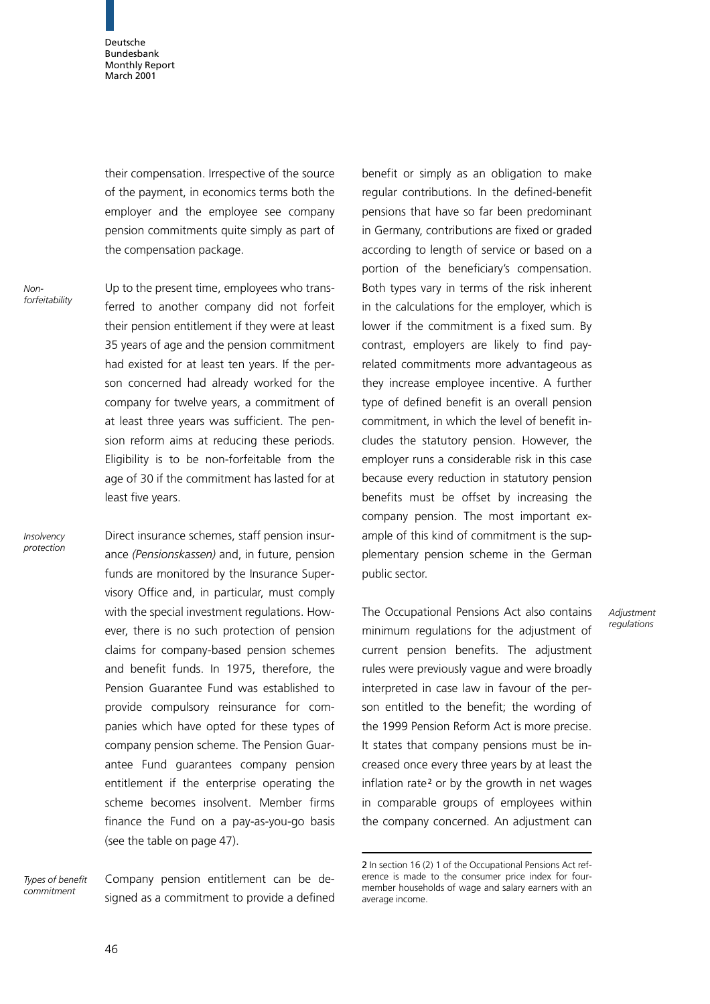their compensation. Irrespective of the source of the payment, in economics terms both the employer and the employee see company pension commitments quite simply as part of the compensation package.

Nonforfeitability

Insolvency protection Up to the present time, employees who transferred to another company did not forfeit their pension entitlement if they were at least 35 years of age and the pension commitment had existed for at least ten years. If the person concerned had already worked for the company for twelve years, a commitment of at least three years was sufficient. The pension reform aims at reducing these periods. Eligibility is to be non-forfeitable from the age of 30 if the commitment has lasted for at least five years.

Direct insurance schemes, staff pension insurance (Pensionskassen) and, in future, pension funds are monitored by the Insurance Supervisory Office and, in particular, must comply with the special investment regulations. However, there is no such protection of pension claims for company-based pension schemes and benefit funds. In 1975, therefore, the Pension Guarantee Fund was established to provide compulsory reinsurance for companies which have opted for these types of company pension scheme. The Pension Guarantee Fund quarantees company pension entitlement if the enterprise operating the scheme becomes insolvent. Member firms finance the Fund on a pay-as-you-go basis (see the table on page 47).

Types of benefit commitment

Company pension entitlement can be designed as a commitment to provide a defined

benefit or simply as an obligation to make regular contributions. In the defined-benefit pensions that have so far been predominant in Germany, contributions are fixed or graded according to length of service or based on a portion of the beneficiary's compensation. Both types vary in terms of the risk inherent in the calculations for the employer, which is lower if the commitment is a fixed sum. By contrast, employers are likely to find payrelated commitments more advantageous as they increase employee incentive. A further type of defined benefit is an overall pension commitment, in which the level of benefit includes the statutory pension. However, the employer runs a considerable risk in this case because every reduction in statutory pension benefits must be offset by increasing the company pension. The most important example of this kind of commitment is the supplementary pension scheme in the German public sector.

The Occupational Pensions Act also contains minimum regulations for the adjustment of current pension benefits. The adjustment rules were previously vague and were broadly interpreted in case law in favour of the person entitled to the benefit; the wording of the 1999 Pension Reform Act is more precise. It states that company pensions must be increased once every three years by at least the inflation rate<sup>2</sup> or by the growth in net wages in comparable groups of employees within the company concerned. An adjustment can

**Adjustment** regulations

<sup>2</sup> In section 16 (2) 1 of the Occupational Pensions Act reference is made to the consumer price index for fourmember households of wage and salary earners with an average income.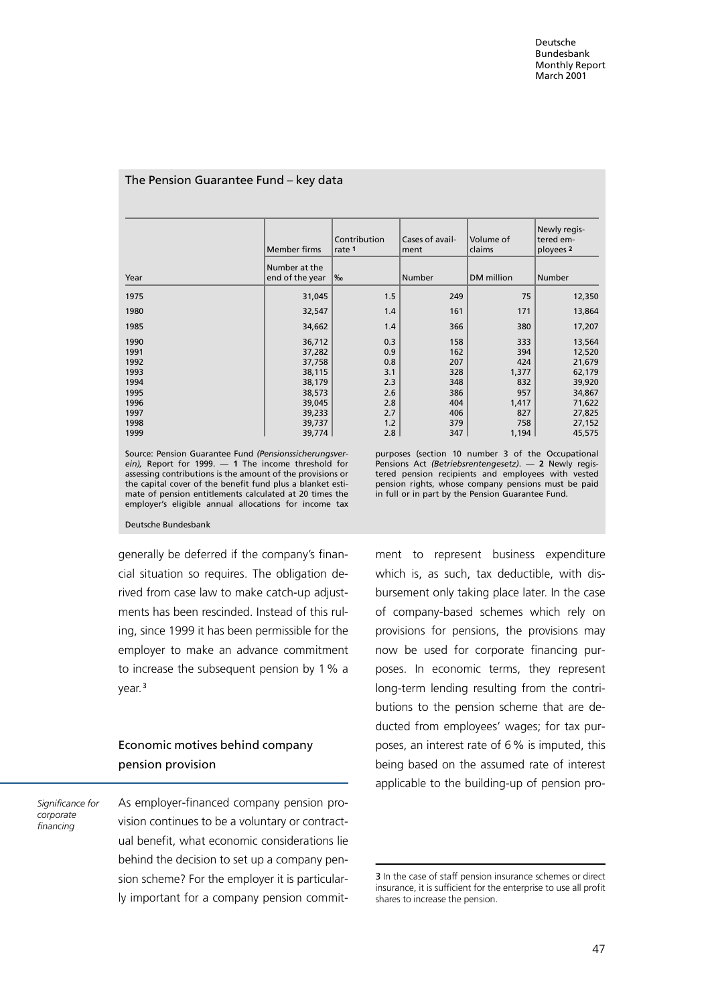| The Pension Guarantee Fund - key data |  |  |  |
|---------------------------------------|--|--|--|
|---------------------------------------|--|--|--|

|      | <b>Member firms</b> | Contribution<br>rate 1 | Cases of avail-<br>Volume of<br>claims<br> ment |            | Newly regis-<br>tered em-<br>ployees <sub>2</sub> |  |
|------|---------------------|------------------------|-------------------------------------------------|------------|---------------------------------------------------|--|
|      | Number at the       |                        |                                                 |            |                                                   |  |
| Year | end of the year     | $\frac{9}{60}$         | Number                                          | DM million | Number                                            |  |
| 1975 | 31,045              | 1.5                    | 249                                             | 75         | 12,350                                            |  |
| 1980 | 32,547              | 1.4                    | 161                                             | 171        | 13,864                                            |  |
| 1985 | 34,662              | 1.4                    | 366                                             | 380        | 17,207                                            |  |
| 1990 | 36,712              | 0.3                    | 158                                             | 333        | 13,564                                            |  |
| 1991 | 37,282              | 0.9                    | 162                                             | 394        | 12,520                                            |  |
| 1992 | 37,758              | 0.8                    | 207                                             | 424        | 21,679                                            |  |
| 1993 | 38,115              | 3.1                    | 328                                             | 1,377      | 62,179                                            |  |
| 1994 | 38,179              | 2.3                    | 348                                             | 832        | 39,920                                            |  |
| 1995 | 38,573              | 2.6                    | 386                                             | 957        | 34,867                                            |  |
| 1996 | 39,045              | 2.8                    | 404                                             | 1,417      | 71,622                                            |  |
| 1997 | 39,233              | 2.7                    | 406                                             | 827        | 27,825                                            |  |
| 1998 | 39,737              | 1.2                    | 379                                             | 758        | 27,152                                            |  |
| 1999 | 39,774              | 2.8                    | 347                                             | 1,194      | 45,575                                            |  |

Source: Pension Guarantee Fund (Pensionssicherungsverein), Report for 1999. — 1 The income threshold for assessing contributions is the amount of the provisions or the capital cover of the benefit fund plus a blanket estimate of pension entitlements calculated at 20 times the employer's eligible annual allocations for income tax

purposes (section 10 number 3 of the Occupational Pensions Act (Betriebsrentengesetz). - 2 Newly registered pension recipients and employees with vested pension rights, whose company pensions must be paid in full or in part by the Pension Guarantee Fund.

Deutsche Bundesbank

generally be deferred if the company's financial situation so requires. The obligation derived from case law to make catch-up adjustments has been rescinded. Instead of this ruling, since 1999 it has been permissible for the employer to make an advance commitment to increase the subsequent pension by 1% a year.<sup>3</sup>

# Economic motives behind company pension provision

Significance for corporate financing

As employer-financed company pension provision continues to be a voluntary or contractual benefit, what economic considerations lie behind the decision to set up a company pension scheme? For the employer it is particularly important for a company pension commitment to represent business expenditure which is, as such, tax deductible, with disbursement only taking place later. In the case of company-based schemes which rely on provisions for pensions, the provisions may now be used for corporate financing purposes. In economic terms, they represent long-term lending resulting from the contributions to the pension scheme that are deducted from employees' wages; for tax purposes, an interest rate of 6% is imputed, this being based on the assumed rate of interest applicable to the building-up of pension pro-

<sup>3</sup> In the case of staff pension insurance schemes or direct insurance, it is sufficient for the enterprise to use all profit shares to increase the pension.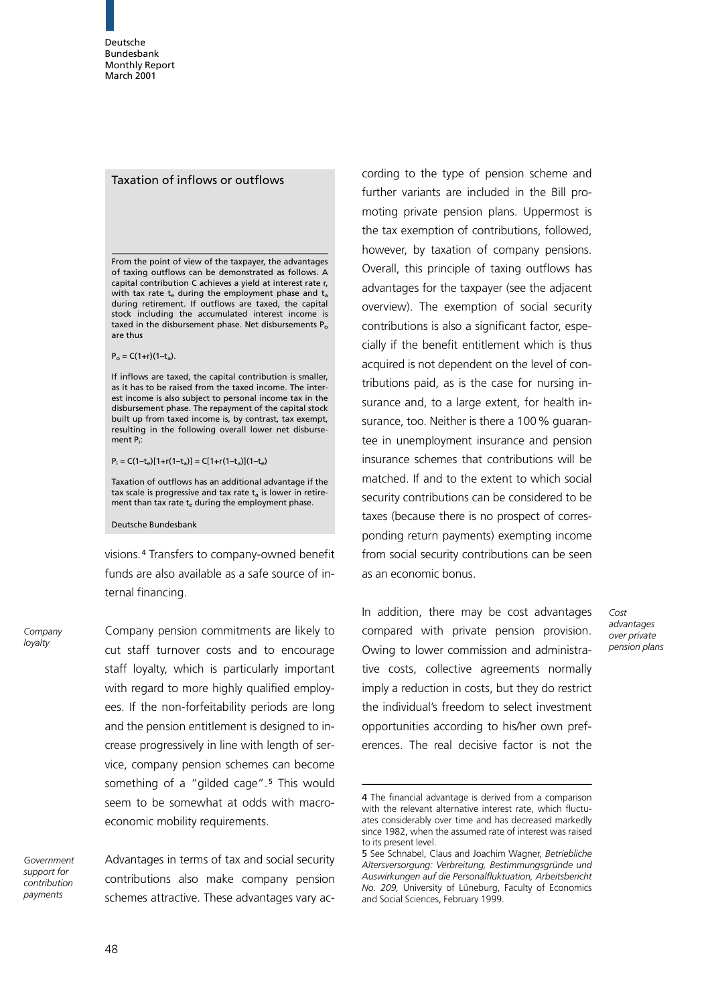## Taxation of inflows or outflows

From the point of view of the taxpayer, the advantages of taxing outflows can be demonstrated as follows. A capital contribution C achieves a yield at interest rate r, with tax rate  $t_e$  during the employment phase and  $t_a$ during retirement. If outflows are taxed, the capital stock including the accumulated interest income is taxed in the disbursement phase. Net disbursements  $P_0$ are thus

 $P_o = C(1+r)(1-t_a)$ .

If inflows are taxed, the capital contribution is smaller, as it has to be raised from the taxed income. The interest income is also subject to personal income tax in the disbursement phase. The repayment of the capital stock built up from taxed income is, by contrast, tax exempt, resulting in the following overall lower net disbursement Pi:

 $P_i = C(1-t_e)[1+r(1-t_a)] = C[1+r(1-t_a)](1-t_e)$ 

Taxation of outflows has an additional advantage if the tax scale is progressive and tax rate  $t_a$  is lower in retirement than tax rate  $t_e$  during the employment phase.

Deutsche Bundesbank

visions. <sup>4</sup> Transfers to company-owned benefit funds are also available as a safe source of internal financing.

Company loyalty

Company pension commitments are likely to cut staff turnover costs and to encourage staff loyalty, which is particularly important with regard to more highly qualified employees. If the non-forfeitability periods are long and the pension entitlement is designed to increase progressively in line with length of service, company pension schemes can become something of a "gilded cage".<sup>5</sup> This would seem to be somewhat at odds with macroeconomic mobility requirements.

Government support for contribution payments

Advantages in terms of tax and social security contributions also make company pension schemes attractive. These advantages vary ac-

cording to the type of pension scheme and further variants are included in the Bill promoting private pension plans. Uppermost is the tax exemption of contributions, followed, however, by taxation of company pensions. Overall, this principle of taxing outflows has advantages for the taxpayer (see the adjacent overview). The exemption of social security contributions is also a significant factor, especially if the benefit entitlement which is thus acquired is not dependent on the level of contributions paid, as is the case for nursing insurance and, to a large extent, for health insurance, too. Neither is there a 100% guarantee in unemployment insurance and pension insurance schemes that contributions will be matched. If and to the extent to which social security contributions can be considered to be taxes (because there is no prospect of corresponding return payments) exempting income from social security contributions can be seen asan economic bonus.

In addition, there may be cost advantages compared with private pension provision. Owing to lower commission and administrative costs, collective agreements normally imply a reduction in costs, but they do restrict the individual's freedom to select investment opportunities according to his/her own preferences. The real decisive factor is not the

Cost advantages over private pension plans

<sup>4</sup> The financial advantage is derived from a comparison with the relevant alternative interest rate, which fluctuates considerably over time and has decreased markedly since 1982, when the assumed rate of interest was raised to its present level.

<sup>5</sup> See Schnabel, Claus and Joachim Wagner, Betriebliche Altersversorgung: Verbreitung, Bestimmungsgründe und Auswirkungen auf die Personalfluktuation, Arbeitsbericht No. 209, University of Lüneburg, Faculty of Economics and Social Sciences, February 1999.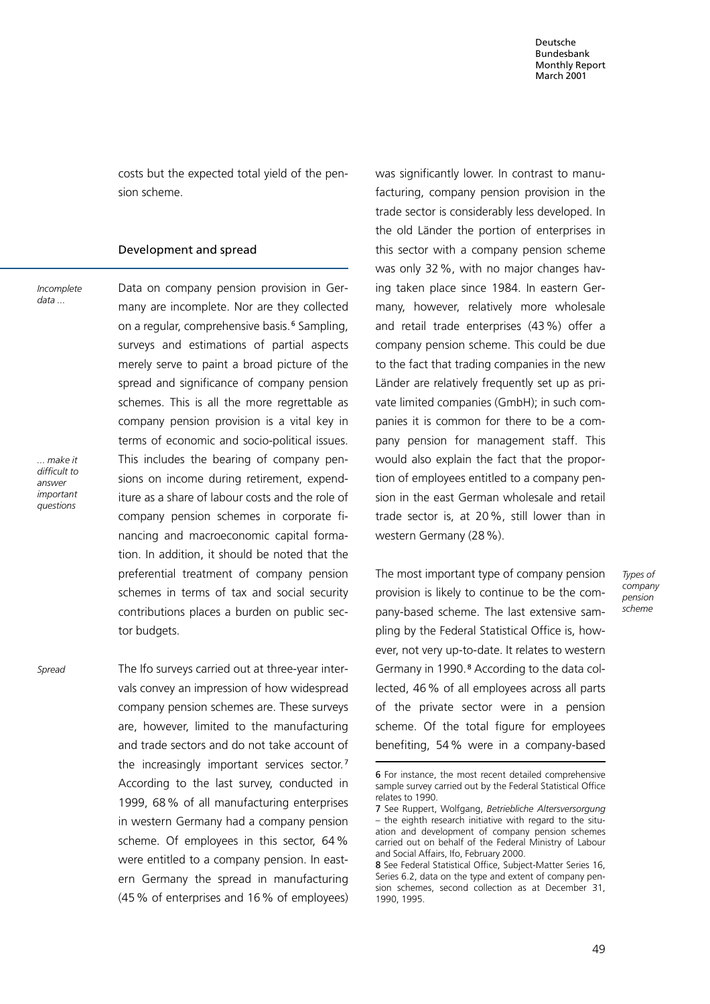costs but the expected total yield of the pension scheme.

### Development and spread

Incomplete data ...

... make it difficult to answer important questions

Spread

Data on company pension provision in Germany are incomplete. Nor are they collected on a regular, comprehensive basis.<sup>6</sup> Sampling, surveys and estimations of partial aspects merely serve to paint a broad picture of the spread and significance of company pension schemes. This is all the more regrettable as company pension provision is a vital key in terms of economic and socio-political issues. This includes the bearing of company pensions on income during retirement, expenditure as a share of labour costs and the role of company pension schemes in corporate financing and macroeconomic capital formation. In addition, it should be noted that the preferential treatment of company pension schemes in terms of tax and social security contributions places a burden on public sector budgets.

The Ifo surveys carried out at three-year intervals convey an impression of how widespread company pension schemes are. These surveys are, however, limited to the manufacturing and trade sectors and do not take account of the increasingly important services sector.<sup>7</sup> According to the last survey, conducted in 1999, 68% of all manufacturing enterprises in western Germany had a company pension scheme. Of employees in this sector, 64% were entitled to a company pension. In eastern Germany the spread in manufacturing (45% of enterprises and 16% of employees) was significantly lower. In contrast to manufacturing, company pension provision in the trade sector is considerably less developed. In the old Länder the portion of enterprises in this sector with a company pension scheme was only 32%, with no major changes having taken place since 1984. In eastern Germany, however, relatively more wholesale and retail trade enterprises (43%) offer a company pension scheme. This could be due to the fact that trading companies in the new Länder are relatively frequently set up as private limited companies(GmbH); in such companies it is common for there to be a company pension for management staff. This would also explain the fact that the proportion of employees entitled to a company pension in the east German wholesale and retail trade sector is, at 20%, still lower than in western Germany (28%).

The most important type of company pension provision is likely to continue to be the company-based scheme. The last extensive sampling by the Federal Statistical Office is, however, not very up-to-date. It relates to western Germany in 1990.<sup>8</sup> According to the data collected, 46% of all employees across all parts of the private sector were in a pension scheme. Of the total figure for employees benefiting, 54% were in a company-based

Types of company pension scheme

<sup>6</sup> For instance, the most recent detailed comprehensive sample survey carried out by the Federal Statistical Office relates to 1990.

<sup>7</sup> See Ruppert, Wolfgang, Betriebliche Altersversorgung – the eighth research initiative with regard to the situation and development of company pension schemes carried out on behalf of the Federal Ministry of Labour and Social Affairs, Ifo, February 2000.

<sup>8</sup> See Federal Statistical Office, Subject-Matter Series 16, Series 6.2, data on the type and extent of company pension schemes, second collection as at December 31, 1990, 1995.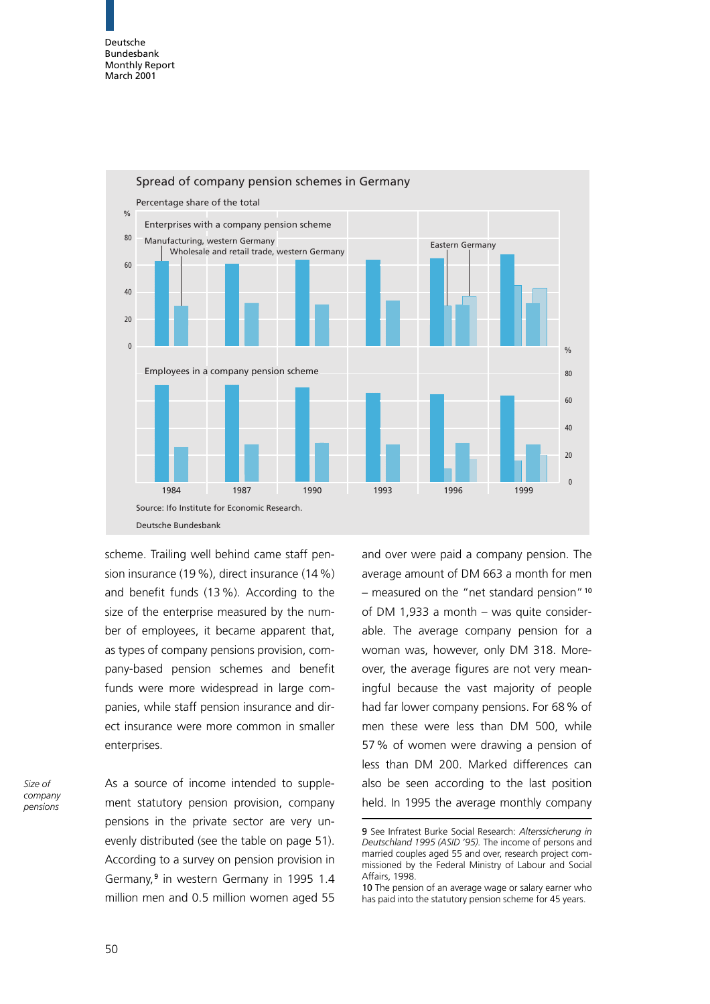

scheme. Trailing well behind came staff pension insurance (19%), direct insurance (14%) and benefit funds (13%). According to the size of the enterprise measured by the number of employees, it became apparent that, as types of company pensions provision, company-based pension schemes and benefit funds were more widespread in large companies, while staff pension insurance and direct insurance were more common in smaller enterprises.

Size of company pensions

As a source of income intended to supplement statutory pension provision, company pensions in the private sector are very unevenly distributed (see the table on page 51). According to a survey on pension provision in Germany,<sup>9</sup> in western Germany in 1995 1.4 million men and 0.5 million women aged 55 and over were paid a company pension. The average amount of DM 663 a month for men – measured on the "net standard pension"<sup>10</sup> of DM 1,933 a month  $-$  was quite considerable. The average company pension for a woman was, however, only DM 318. Moreover, the average figures are not very meaningful because the vast majority of people had far lower company pensions. For 68% of men these were less than DM 500, while 57% of women were drawing a pension of less than DM 200. Marked differences can also be seen according to the last position held. In 1995 the average monthly company

<sup>9</sup> See Infratest Burke Social Research: Alterssicherung in Deutschland 1995 (ASID '95). The income of persons and married couples aged 55 and over, research project commissioned by the Federal Ministry of Labour and Social Affairs, 1998.

<sup>10</sup> The pension of an average wage or salary earner who has paid into the statutory pension scheme for 45 years.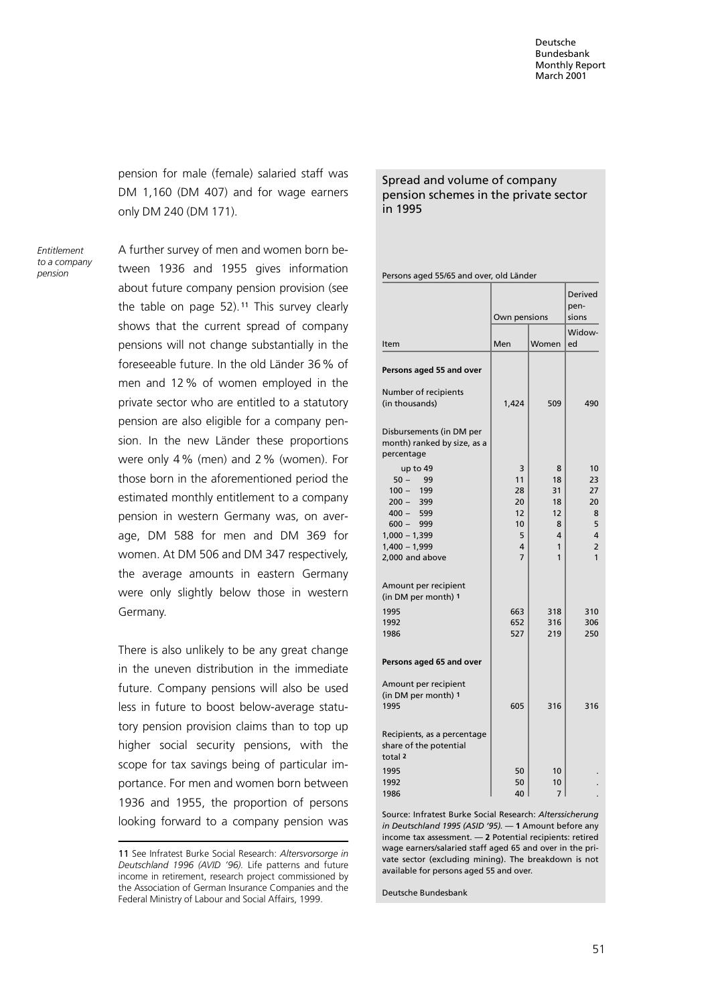pension for male (female) salaried staff was DM 1,160 (DM 407) and for wage earners only DM 240 (DM 171).

Entitlement to a company pension

A further survey of men and women born between 1936 and 1955 gives information about future company pension provision (see the table on page  $52$ ).<sup>11</sup> This survey clearly shows that the current spread of company pensions will not change substantially in the foreseeable future. In the old Länder 36% of men and 12% of women employed in the private sector who are entitled to a statutory pension are also eligible for a company pension. In the new Länder these proportions were only 4% (men) and 2% (women). For those born in the aforementioned period the estimated monthly entitlement to a company pension in western Germany was, on average, DM 588 for men and DM 369 for women. At DM 506 and DM 347 respectively, the average amounts in eastern Germany were only slightly below those in western Germany.

There is also unlikely to be any great change in the uneven distribution in the immediate future. Company pensions will also be used less in future to boost below-average statutory pension provision claims than to top up higher social security pensions, with the scope for tax savings being of particular importance. For men and women born between 1936 and 1955, the proportion of persons looking forward to a company pension was

# Spread and volume of company pension schemes in the private sector in 1995

| Persons aged 55/65 and over, old Länder |  |  |
|-----------------------------------------|--|--|
|                                         |  |  |

|                                                                                                                                                                                                        | Own pensions                                                |                                               | Derived<br>pen-<br>sions                                   |  |
|--------------------------------------------------------------------------------------------------------------------------------------------------------------------------------------------------------|-------------------------------------------------------------|-----------------------------------------------|------------------------------------------------------------|--|
| Item                                                                                                                                                                                                   | Men                                                         | Women                                         | Widow-<br>ed                                               |  |
| Persons aged 55 and over                                                                                                                                                                               |                                                             |                                               |                                                            |  |
| Number of recipients<br>(in thousands)                                                                                                                                                                 | 1,424                                                       | 509                                           | 490                                                        |  |
| Disbursements (in DM per<br>month) ranked by size, as a<br>percentage                                                                                                                                  |                                                             |                                               |                                                            |  |
| up to 49<br>$50 -$<br>-99<br>199<br>$100 -$<br>$200 -$<br>399<br>$400 - 599$<br>$600 -$<br>999<br>$1,000 - 1,399$<br>$1,400 - 1,999$<br>2,000 and above<br>Amount per recipient<br>(in DM per month) 1 | 3<br>11<br>28<br>20<br>12<br>10<br>5<br>4<br>$\overline{7}$ | 8<br>18<br>31<br>18<br>12<br>8<br>4<br>1<br>1 | 10<br>23<br>27<br>20<br>8<br>5<br>4<br>$\overline{2}$<br>1 |  |
| 1995<br>1992<br>1986                                                                                                                                                                                   | 663<br>652<br>527                                           | 318<br>316<br>219                             | 310<br>306<br>250                                          |  |
| Persons aged 65 and over                                                                                                                                                                               |                                                             |                                               |                                                            |  |
| Amount per recipient<br>(in DM per month) 1<br>1995                                                                                                                                                    | 605                                                         | 316                                           | 316                                                        |  |
| Recipients, as a percentage<br>share of the potential<br>total <sub>2</sub>                                                                                                                            |                                                             |                                               |                                                            |  |
| 1995<br>1992                                                                                                                                                                                           | 50<br>50                                                    | 10<br>10                                      |                                                            |  |

Source: Infratest Burke Social Research: Alterssicherung in Deutschland 1995 (ASID '95). — 1 Amount before any income tax assessment. — 2 Potential recipients: retired wage earners/salaried staff aged 65 and over in the private sector (excluding mining). The breakdown is not available for persons aged 55 and over.

1986 **1986 1986 1986** 

Deutsche Bundesbank

<sup>11</sup> See Infratest Burke Social Research: Altersvorsorge in Deutschland 1996 (AVID '96). Life patterns and future income in retirement, research project commissioned by the Association of German Insurance Companies and the Federal Ministry of Labour and Social Affairs, 1999.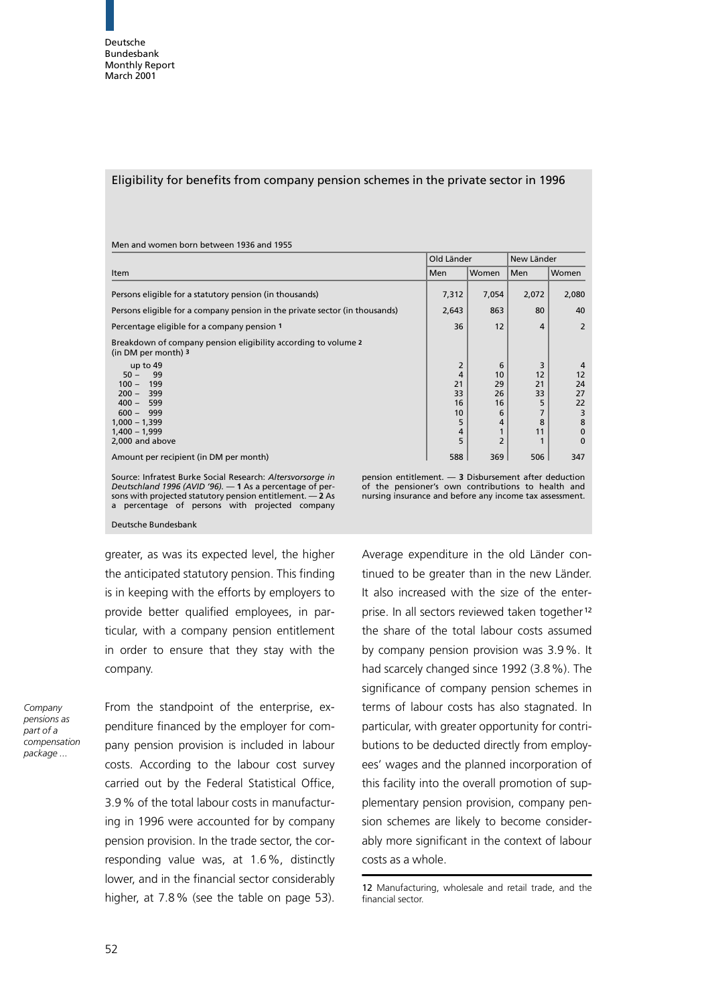### Eligibility for benefits from company pension schemes in the private sector in 1996

|                                                                                       | Old Länder               |                           | New Länder               |                                   |
|---------------------------------------------------------------------------------------|--------------------------|---------------------------|--------------------------|-----------------------------------|
| Item                                                                                  |                          | Women                     | lMen                     | Women                             |
| Persons eligible for a statutory pension (in thousands)                               | 7,312                    | 7,054                     | 2,072                    | 2,080                             |
| Persons eligible for a company pension in the private sector (in thousands)           | 2,643                    | 863                       | 80                       | 40                                |
| Percentage eligible for a company pension 1                                           | 36                       | 12                        | 4                        | $\overline{2}$                    |
| Breakdown of company pension eligibility according to volume 2<br>(in DM per month) 3 |                          |                           |                          |                                   |
| up to $49$<br>$50 -$<br>99<br>$100 -$<br>199<br>399<br>$200 -$<br>$400 -$<br>599      | 2<br>4<br>21<br>33<br>16 | 6<br>10<br>29<br>26<br>16 | 3<br>12<br>21<br>33<br>5 | 4<br>12<br>24<br>27<br>22         |
| $600 - 999$<br>$1,000 - 1,399$<br>$1,400 - 1,999$<br>2,000 and above                  | 10<br>5<br>4<br>5        | 6<br>4<br>$\overline{2}$  | 8<br>11                  | 3<br>8<br>$\mathbf 0$<br>$\Omega$ |
| Amount per recipient (in DM per month)                                                | 588                      | 369                       | 506                      | 347                               |

Source: Infratest Burke Social Research: Altersvorsorge in Deutschland 1996 (AVID '96). — 1 As a percentage of per-sons with projected statutory pension entitlement. — 2 As a percentage of persons with projected company

Men and women born between 1936 and 1955

pension entitlement. — 3 Disbursement after deduction of the pensioner's own contributions to health and nursing insurance and before any income tax assessment.

Deutsche Bundesbank

greater, as was its expected level, the higher the anticipated statutory pension. This finding is in keeping with the efforts by employers to provide better qualified employees, in particular, with a company pension entitlement in order to ensure that they stay with the company.

Company pensions as part of a compensation package ...

From the standpoint of the enterprise, expenditure financed by the employer for company pension provision is included in labour costs. According to the labour cost survey carried out by the Federal Statistical Office, 3.9% of the total labour costs in manufacturing in 1996 were accounted for by company pension provision. In the trade sector, the corresponding value was, at 1.6%, distinctly lower, and in the financial sector considerably higher, at 7.8% (see the table on page 53).

Average expenditure in the old Länder continued to be greater than in the new Länder. It also increased with the size of the enterprise. In all sectors reviewed taken together<sup>12</sup> the share of the total labour costs assumed by company pension provision was 3.9%. It had scarcely changed since 1992 (3.8%). The significance of company pension schemes in terms of labour costs has also stagnated. In particular, with greater opportunity for contributions to be deducted directly from employees' wages and the planned incorporation of this facility into the overall promotion of supplementary pension provision, company pension schemes are likely to become considerably more significant in the context of labour costs as a whole.

<sup>12</sup> Manufacturing, wholesale and retail trade, and the financial sector.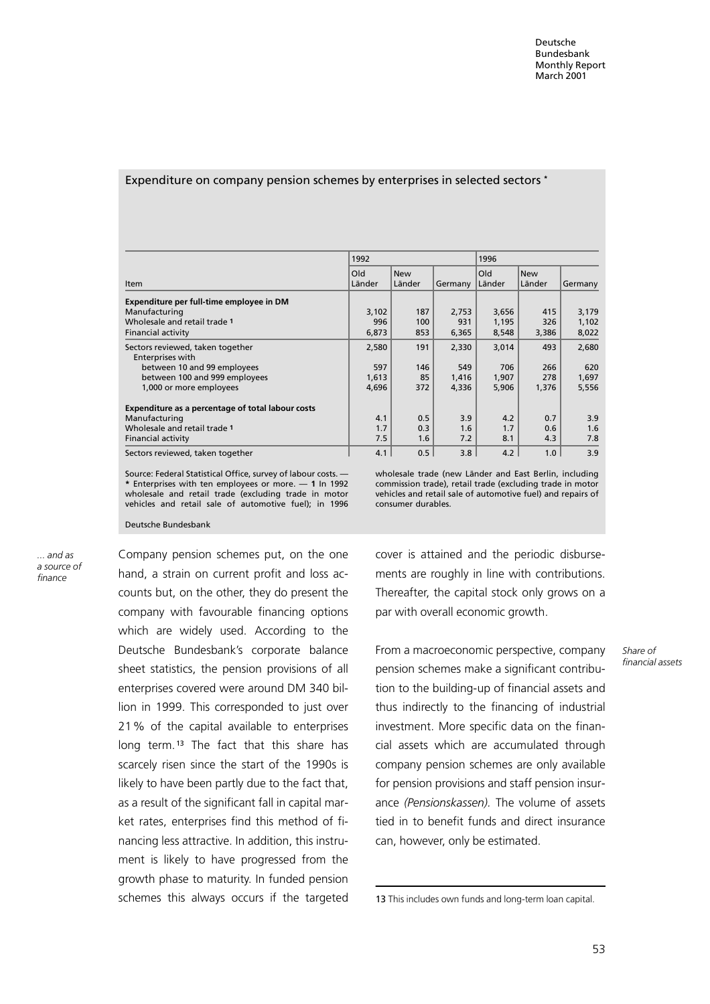### Expenditure on company pension schemes by enterprises in selected sectors \*

|                                                   | 1992<br>1996  |               |         |               |               |         |
|---------------------------------------------------|---------------|---------------|---------|---------------|---------------|---------|
| <b>Item</b>                                       | Old<br>Länder | New<br>Länder | Germany | Old<br>Länder | New<br>Länder | Germany |
|                                                   |               |               |         |               |               |         |
| Expenditure per full-time employee in DM          |               |               |         |               |               |         |
| Manufacturing                                     | 3,102         | 187           | 2,753   | 3,656         | 415           | 3,179   |
| Wholesale and retail trade 1                      | 996           | 100           | 931     | 1,195         | 326           | 1,102   |
| <b>Financial activity</b>                         | 6,873         | 853           | 6,365   | 8,548         | 3,386         | 8,022   |
| Sectors reviewed, taken together                  | 2,580         | 191           | 2,330   | 3,014         | 493           | 2,680   |
| Enterprises with                                  |               |               |         |               |               |         |
| between 10 and 99 employees                       | 597           | 146           | 549     | 706           | 266           | 620     |
| between 100 and 999 employees                     | 1,613         | 85            | 1,416   | 1,907         | 278           | 1,697   |
| 1,000 or more employees                           | 4,696         | 372           | 4,336   | 5,906         | 1,376         | 5,556   |
| Expenditure as a percentage of total labour costs |               |               |         |               |               |         |
| Manufacturing                                     | 4.1           | 0.5           | 3.9     | 4.2           | 0.7           | 3.9     |
| Wholesale and retail trade 1                      | 1.7           | 0.3           | 1.6     | 1.7           | 0.6           | 1.6     |
| <b>Financial activity</b>                         | 7.5           | 1.6           | 7.2     | 8.1           | 4.3           | 7.8     |
| Sectors reviewed, taken together                  | 4.1           | 0.5           | 3.8     | 4.2           | 1.0           | 3.9     |

Source: Federal Statistical Office, survey of labour costs. — \* Enterprises with ten employees or more. — 1 In 1992 wholesale and retail trade (excluding trade in motor vehicles and retail sale of automotive fuel); in 1996

wholesale trade (new Länder and East Berlin, including commission trade), retail trade (excluding trade in motor vehicles and retail sale of automotive fuel) and repairs of consumer durables.

Deutsche Bundesbank

... and as a source of finance

Company pension schemes put, on the one hand, a strain on current profit and loss accounts but, on the other, they do present the company with favourable financing options which are widely used. According to the Deutsche Bundesbank's corporate balance sheet statistics, the pension provisions of all enterprises covered were around DM 340 billion in 1999. This corresponded to just over 21% of the capital available to enterprises long term.<sup>13</sup> The fact that this share has scarcely risen since the start of the 1990s is likely to have been partly due to the fact that, as a result of the significant fall in capital market rates, enterprises find this method of financing less attractive. In addition, this instrument is likely to have progressed from the growth phase to maturity. In funded pension schemes this always occurs if the targeted cover is attained and the periodic disbursements are roughly in line with contributions. Thereafter, the capital stock only grows on a par with overall economic growth.

From a macroeconomic perspective, company pension schemes make a significant contribution to the building-up of financial assets and thus indirectly to the financing of industrial investment. More specific data on the financial assets which are accumulated through company pension schemes are only available for pension provisions and staff pension insurance (Pensionskassen). The volume of assets tied in to benefit funds and direct insurance can, however, only be estimated.

Share of

<sup>13</sup> This includes own funds and long-term loan capital.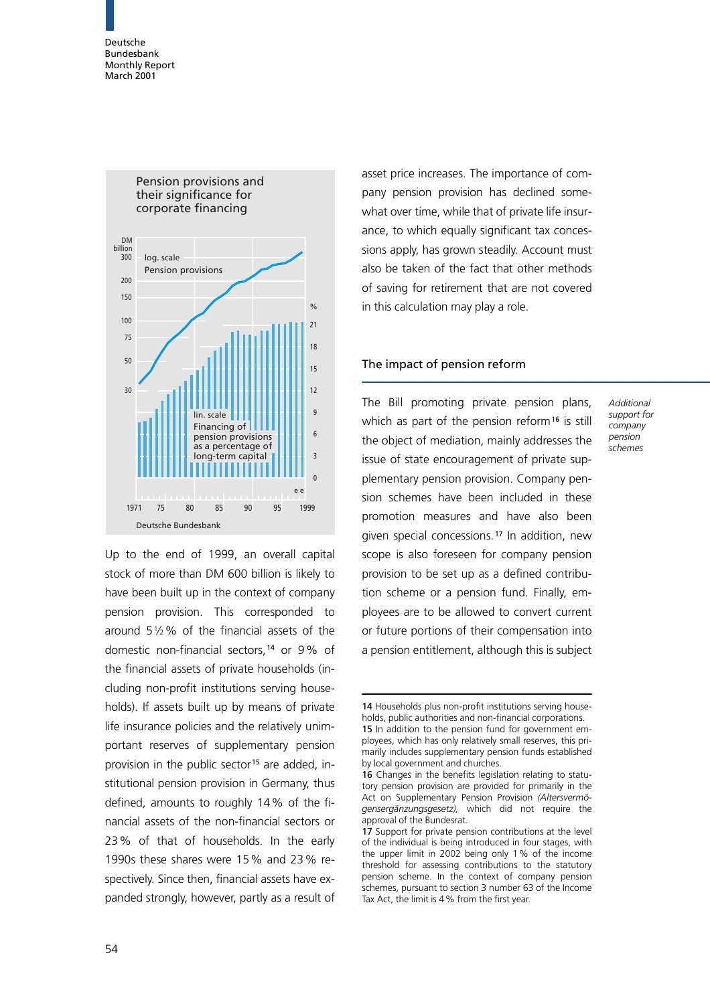

Up to the end of 1999, an overall capital stock of more than DM 600 billion is likely to have been built up in the context of company pension provision. This corresponded to around 5 $1/2$ % of the financial assets of the domestic non-financial sectors,<sup>14</sup> or 9% of the financial assets of private households (including non-profit institutions serving households). If assets built up by means of private life insurance policies and the relatively unimportant reserves of supplementary pension provision in the public sector<sup>15</sup> are added, institutional pension provision in Germany, thus defined, amounts to roughly 14% of the financial assets of the non-financial sectors or 23% of that of households. In the early 1990s these shares were 15% and 23% respectively. Since then, financial assets have expanded strongly, however, partly as a result of

asset price increases. The importance of company pension provision has declined somewhat over time, while that of private life insurance, to which equally significant tax concessions apply, has grown steadily. Account must also be taken of the fact that other methods of saving for retirement that are not covered in this calculation may play a role.

# The impact of pension reform

The Bill promoting private pension plans, which as part of the pension reform<sup>16</sup> is still the object of mediation, mainly addresses the issue of state encouragement of private supplementary pension provision. Company pension schemes have been included in these promotion measures and have also been given special concessions.<sup>17</sup> In addition, new scope is also foreseen for company pension provision to be set up as a defined contribution scheme or a pension fund. Finally, employees are to be allowed to convert current or future portions of their compensation into a pension entitlement, although this is subject

**Additional** support for company pension schemes

<sup>14</sup> Households plus non-profit institutions serving households, public authorities and non-financial corporations.

<sup>15</sup> In addition to the pension fund for government employees, which has only relatively small reserves, this primarily includes supplementary pension funds established by local government and churches.

<sup>16</sup> Changes in the benefits legislation relating to statutory pension provision are provided for primarily in the Act on Supplementary Pension Provision (Altersvermögensergänzungsgesetz), which did not require the approval of the Bundesrat.

<sup>17</sup> Support for private pension contributions at the level of the individual is being introduced in four stages, with the upper limit in 2002 being only 1% of the income threshold for assessing contributions to the statutory pension scheme. In the context of company pension schemes, pursuant to section 3 number 63 of the Income Tax Act, the limit is 4% from the first year.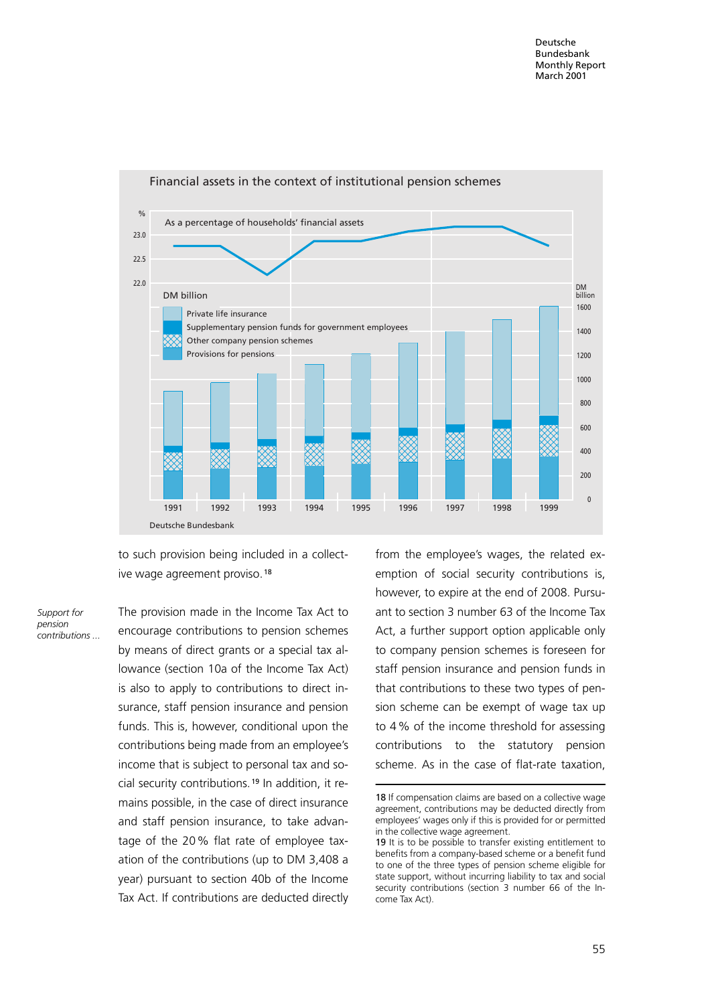

to such provision being included in a collective wage agreement proviso.<sup>18</sup>

Support for pension contributions ... The provision made in the Income Tax Act to encourage contributions to pension schemes by means of direct grants or a special tax allowance (section 10a of the Income Tax Act) is also to apply to contributions to direct insurance, staff pension insurance and pension funds. This is, however, conditional upon the contributions being made from an employee's income that is subject to personal tax and social security contributions. <sup>19</sup> In addition, it remains possible, in the case of direct insurance and staff pension insurance, to take advantage of the 20% flat rate of employee taxation of the contributions (up to DM 3,408 a year) pursuant to section 40b of the Income Tax Act. If contributions are deducted directly

from the employee's wages, the related exemption of social security contributions is, however, to expire at the end of 2008. Pursuant to section 3 number 63 of the Income Tax Act, a further support option applicable only to company pension schemes is foreseen for staff pension insurance and pension funds in that contributions to these two types of pension scheme can be exempt of wage tax up to 4% of the income threshold for assessing contributions to the statutory pension scheme. As in the case of flat-rate taxation,

<sup>18</sup> If compensation claims are based on a collective wage agreement, contributions may be deducted directly from employees' wages only if this is provided for or permitted in the collective wage agreement.

<sup>19</sup> It is to be possible to transfer existing entitlement to benefits from a company-based scheme or a benefit fund to one of the three types of pension scheme eligible for state support, without incurring liability to tax and social security contributions (section 3 number 66 of the Income Tax Act).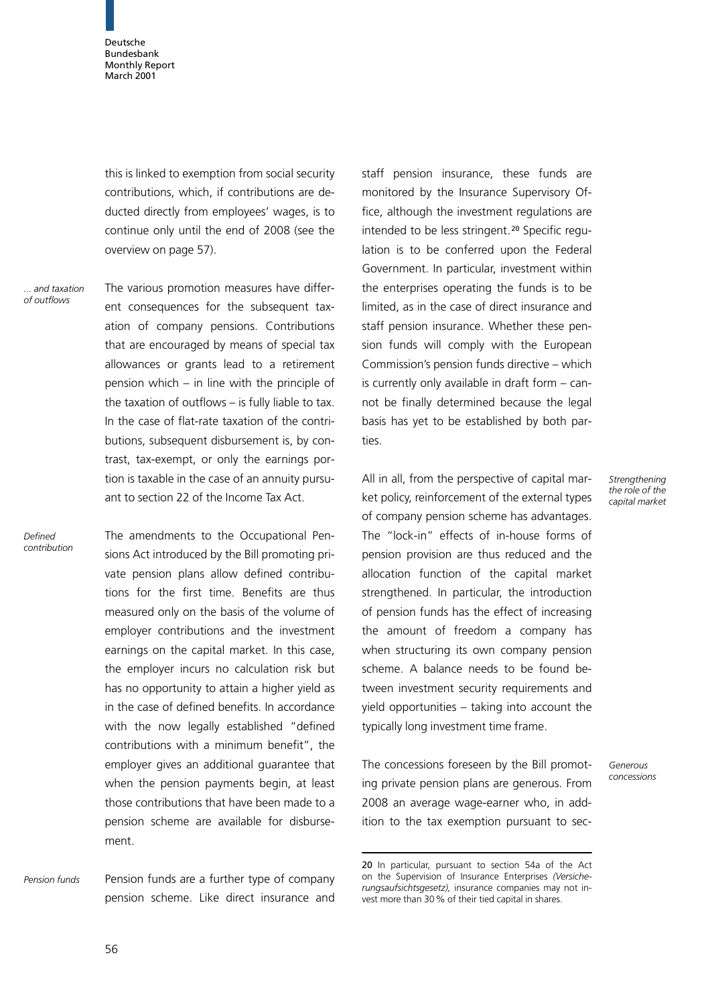this is linked to exemption from social security contributions, which, if contributions are deducted directly from employees' wages, is to continue only until the end of 2008 (see the overview on page 57).

... and taxation of outflows

The various promotion measures have different consequences for the subsequent taxation of company pensions. Contributions that are encouraged by means of special tax allowances or grants lead to a retirement pension which – in line with the principle of the taxation of outflows  $-$  is fully liable to tax. In the case of flat-rate taxation of the contributions, subsequent disbursement is, by contrast, tax-exempt, or only the earnings portion is taxable in the case of an annuity pursuant to section 22 of the Income Tax Act.

Defined contribution The amendments to the Occupational Pensions Act introduced by the Bill promoting private pension plans allow defined contributions for the first time. Benefits are thus measured only on the basis of the volume of employer contributions and the investment earnings on the capital market. In this case, the employer incurs no calculation risk but has no opportunity to attain a higher yield as in the case of defined benefits. In accordance with the now legally established "defined contributions with a minimum benefit", the employer gives an additional guarantee that when the pension payments begin, at least those contributions that have been made to a pension scheme are available for disbursement.

Pension funds are a further type of company pension scheme. Like direct insurance and Pension funds

staff pension insurance, these funds are monitored by the Insurance Supervisory Office, although the investment regulations are intended to be less stringent.<sup>20</sup> Specific regulation is to be conferred upon the Federal Government. In particular, investment within the enterprises operating the funds is to be limited, as in the case of direct insurance and staff pension insurance. Whether these pension funds will comply with the European Commission's pension funds directive – which is currently only available in draft form  $-$  cannot be finally determined because the legal basis has yet to be established by both parties.

All in all, from the perspective of capital market policy, reinforcement of the external types of company pension scheme has advantages. The "lock-in" effects of in-house forms of pension provision are thus reduced and the allocation function of the capital market strengthened. In particular, the introduction of pension funds has the effect of increasing the amount of freedom a company has when structuring its own company pension scheme. A balance needs to be found between investment security requirements and yield opportunities– taking into account the typically long investment time frame.

The concessions foreseen by the Bill promoting private pension plans are generous. From 2008 an average wage-earner who, in addition to the tax exemption pursuant to secStrengthening the role of the capital market

Generous concessions

<sup>20</sup> In particular, pursuant to section 54a of the Act on the Supervision of Insurance Enterprises (Versicherungsaufsichtsgesetz), insurance companies may not invest more than 30% of their tied capital in shares.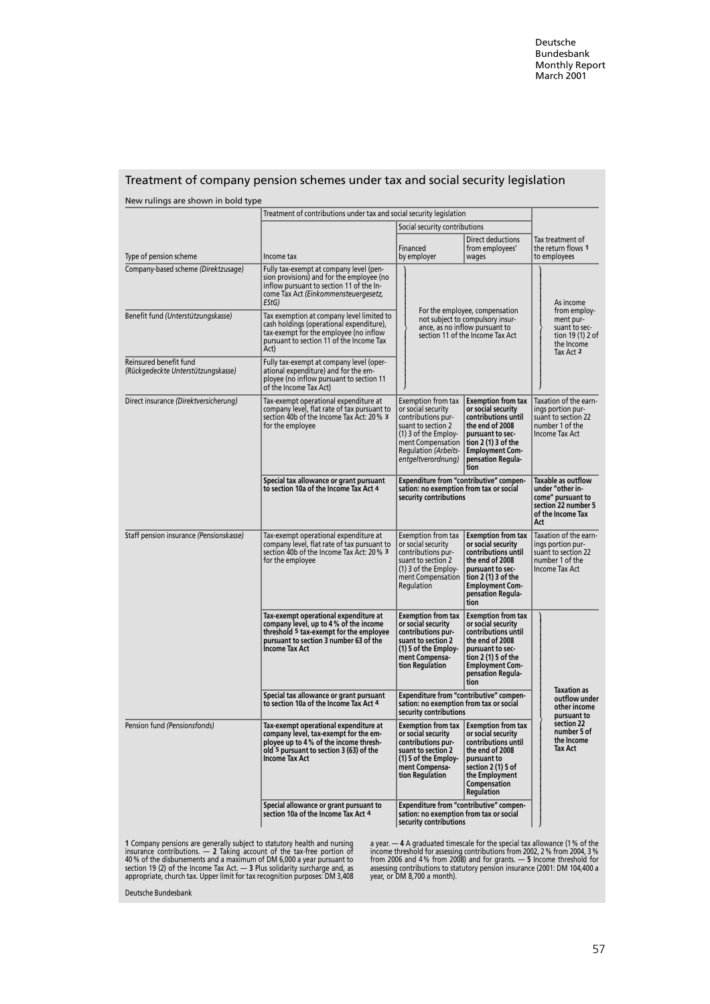| New rulings are shown in bold type                            |                                                                                                                                                                                                 |                                                                                                                                                                                                                                                                                                                                                                                          |                                                                                                                |  |
|---------------------------------------------------------------|-------------------------------------------------------------------------------------------------------------------------------------------------------------------------------------------------|------------------------------------------------------------------------------------------------------------------------------------------------------------------------------------------------------------------------------------------------------------------------------------------------------------------------------------------------------------------------------------------|----------------------------------------------------------------------------------------------------------------|--|
|                                                               | Treatment of contributions under tax and social security legislation                                                                                                                            |                                                                                                                                                                                                                                                                                                                                                                                          |                                                                                                                |  |
|                                                               |                                                                                                                                                                                                 | Social security contributions<br>Direct deductions<br>Financed<br>from employees'                                                                                                                                                                                                                                                                                                        | Tax treatment of<br>the return flows 1                                                                         |  |
| Type of pension scheme<br>Company-based scheme (Direktzusage) | Income tax<br>Fully tax-exempt at company level (pen-<br>sion provisions) and for the employee (no<br>inflow pursuant to section 11 of the In-<br>come Tax Act (Einkommensteuergesetz,<br>EStG) | by employer<br>wages                                                                                                                                                                                                                                                                                                                                                                     | to employees<br>As income                                                                                      |  |
| Benefit fund (Unterstützungskasse)                            | Tax exemption at company level limited to<br>cash holdings (operational expenditure),<br>tax-exempt for the employee (no inflow<br>pursuant to section 11 of the Income Tax<br>Act)             | For the employee, compensation<br>not subject to compulsory insur-<br>ance, as no inflow pursuant to<br>section 11 of the Income Tax Act                                                                                                                                                                                                                                                 | from employ-<br>ment pur-<br>suant to sec-<br>tion 19 (1) 2 of<br>the Income<br>Tax Act 2                      |  |
| Reinsured benefit fund<br>(Rückgedeckte Unterstützungskasse)  | Fully tax-exempt at company level (oper-<br>ational expenditure) and for the em-<br>ployee (no inflow pursuant to section 11<br>of the Income Tax Act)                                          |                                                                                                                                                                                                                                                                                                                                                                                          |                                                                                                                |  |
| Direct insurance (Direktversicherung)                         | Tax-exempt operational expenditure at<br>company level, flat rate of tax pursuant to<br>section 40b of the Income Tax Act: 20 % 3<br>for the employee                                           | Exemption from tax<br><b>Exemption from tax</b><br>or social security<br>or social security<br>contributions until<br>contributions pur-<br>suant to section 2<br>the end of 2008<br>$(1)$ 3 of the Employ-<br>pursuant to sec-<br>ment Compensation<br>tion $2(1)$ 3 of the<br><b>Regulation (Arbeits-</b><br><b>Employment Com-</b><br>entgeltverordnung)<br>pensation Regula-<br>tion | Taxation of the earn-<br>ings portion pur-<br>suant to section 22<br>number 1 of the<br>Income Tax Act         |  |
|                                                               | Special tax allowance or grant pursuant<br>to section 10a of the Income Tax Act 4                                                                                                               | Expenditure from "contributive" compen-<br>sation: no exemption from tax or social<br>security contributions                                                                                                                                                                                                                                                                             | Taxable as outflow<br>under "other in-<br>come" pursuant to<br>section 22 number 5<br>of the Income Tax<br>Act |  |
| Staff pension insurance (Pensionskasse)                       | Tax-exempt operational expenditure at<br>company level, flat rate of tax pursuant to<br>section 40b of the Income Tax Act: 20 % 3<br>for the employee                                           | <b>Exemption from tax</b><br>Exemption from tax<br>or social security<br>or social security<br>contributions until<br>contributions pur-<br>suant to section 2<br>the end of 2008<br>$(1)$ 3 of the Employ-<br>pursuant to sec-<br>ment Compensation<br>tion $2(1)$ 3 of the<br>Regulation<br><b>Employment Com-</b><br>pensation Regula-<br>tion                                        | Taxation of the earn-<br>ings portion pur-<br>suant to section 22<br>number 1 of the<br>Income Tax Act         |  |
|                                                               | Tax-exempt operational expenditure at<br>company level, up to 4 % of the income<br>threshold 5 tax-exempt for the employee<br>pursuant to section 3 number 63 of the<br><b>Income Tax Act</b>   | <b>Exemption from tax</b><br><b>Exemption from tax</b><br>or social security<br>or social security<br>contributions until<br>contributions pur-<br>the end of 2008<br>suant to section 2<br>(1) 5 of the Employ-<br>pursuant to sec-<br>tion $2(1)$ 5 of the<br>ment Compensa-<br>tion Regulation<br><b>Employment Com-</b><br>pensation Regula-<br>tion                                 |                                                                                                                |  |
|                                                               | Special tax allowance or grant pursuant<br>to section 10a of the Income Tax Act 4                                                                                                               | Expenditure from "contributive" compen-<br>sation: no exemption from tax or social<br>security contributions                                                                                                                                                                                                                                                                             | Taxation as<br>outflow under<br>other income<br>pursuant to                                                    |  |
| Pension fund (Pensionsfonds)                                  | Tax-exempt operational expenditure at<br>company level, tax-exempt for the em-<br>ployee up to 4% of the income thresh-<br>old 5 pursuant to section 3 (63) of the<br><b>Income Tax Act</b>     | Exemption from tax $\parallel$ Exemption from tax<br>or social security<br>or social security<br>contributions until<br>contributions pur-<br>suant to section 2<br>the end of 2008<br>(1) 5 of the Employ<br>pursuant to<br>ment Compensa-<br>section 2 (1) 5 of<br>tion Regulation<br>the Employment<br><b>Compensation</b><br><b>Requlation</b>                                       | section 22<br>number 5 of<br>the Income<br><b>Tax Act</b>                                                      |  |
|                                                               | Special allowance or grant pursuant to<br>section 10a of the Income Tax Act 4                                                                                                                   | Expenditure from "contributive" compen-<br>sation: no exemption from tax or social<br>security contributions                                                                                                                                                                                                                                                                             |                                                                                                                |  |

# Treatment of company pension schemes under tax and social security legislation

1 Company pensions are generally subject to statutory health and nursing<br>insurance contributions. — 2 Taking account of the tax-free portion of<br>40 % of the disbursements and a maximum of DM 6,000 a year pursuant to<br>section

a year. — 4 A graduated timescale for the special tax allowance (1 % of the<br>income threshold for assessing contributions from 2002, 2 % from 2004, 3 %<br>from 2006 and 4 % from 2008) and for grants. — 5 Income threshold for<br>a

Deutsche Bundesbank